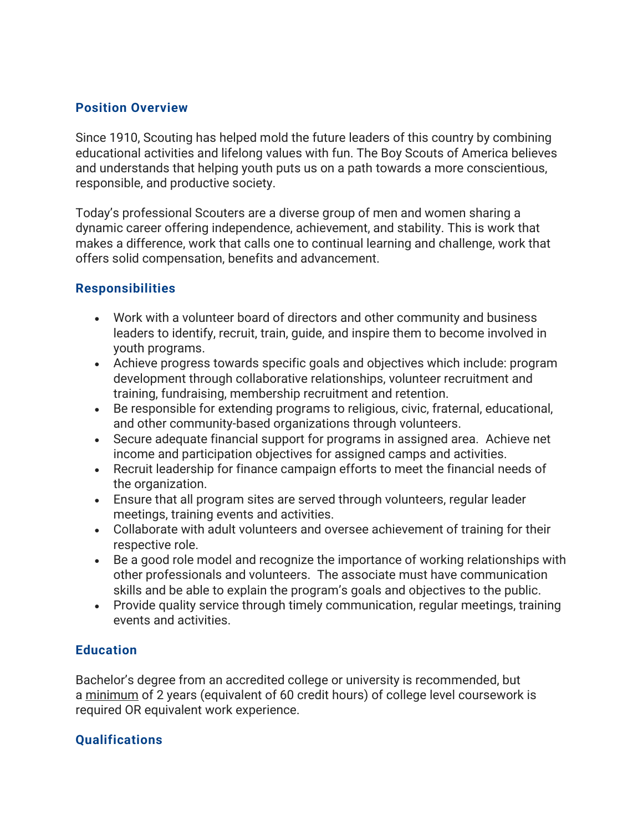### **Position Overview**

Since 1910, Scouting has helped mold the future leaders of this country by combining educational activities and lifelong values with fun. The Boy Scouts of America believes and understands that helping youth puts us on a path towards a more conscientious, responsible, and productive society.

Today's professional Scouters are a diverse group of men and women sharing a dynamic career offering independence, achievement, and stability. This is work that makes a difference, work that calls one to continual learning and challenge, work that offers solid compensation, benefits and advancement.

## **Responsibilities**

- Work with a volunteer board of directors and other community and business leaders to identify, recruit, train, guide, and inspire them to become involved in youth programs.
- Achieve progress towards specific goals and objectives which include: program development through collaborative relationships, volunteer recruitment and training, fundraising, membership recruitment and retention.
- Be responsible for extending programs to religious, civic, fraternal, educational, and other community-based organizations through volunteers.
- Secure adequate financial support for programs in assigned area. Achieve net income and participation objectives for assigned camps and activities.
- Recruit leadership for finance campaign efforts to meet the financial needs of the organization.
- Ensure that all program sites are served through volunteers, regular leader meetings, training events and activities.
- Collaborate with adult volunteers and oversee achievement of training for their respective role.
- Be a good role model and recognize the importance of working relationships with other professionals and volunteers. The associate must have communication skills and be able to explain the program's goals and objectives to the public.
- Provide quality service through timely communication, regular meetings, training events and activities.

#### **Education**

Bachelor's degree from an accredited college or university is recommended, but a minimum of 2 years (equivalent of 60 credit hours) of college level coursework is required OR equivalent work experience.

#### **Qualifications**